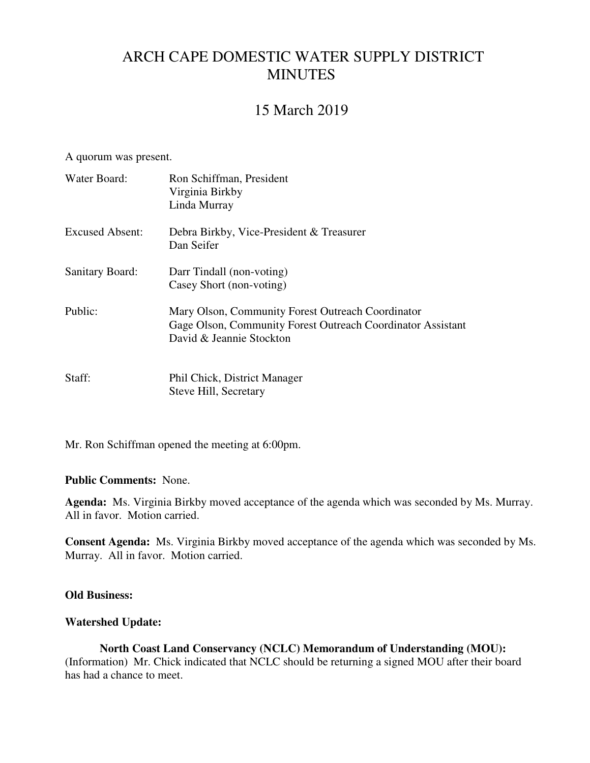# ARCH CAPE DOMESTIC WATER SUPPLY DISTRICT MINUTES

# 15 March 2019

A quorum was present.

| Water Board:           | Ron Schiffman, President<br>Virginia Birkby<br>Linda Murray                                                                                  |
|------------------------|----------------------------------------------------------------------------------------------------------------------------------------------|
| <b>Excused Absent:</b> | Debra Birkby, Vice-President & Treasurer<br>Dan Seifer                                                                                       |
| <b>Sanitary Board:</b> | Darr Tindall (non-voting)<br>Casey Short (non-voting)                                                                                        |
| Public:                | Mary Olson, Community Forest Outreach Coordinator<br>Gage Olson, Community Forest Outreach Coordinator Assistant<br>David & Jeannie Stockton |
| Staff:                 | Phil Chick, District Manager<br>Steve Hill, Secretary                                                                                        |

Mr. Ron Schiffman opened the meeting at 6:00pm.

#### **Public Comments:** None.

**Agenda:** Ms. Virginia Birkby moved acceptance of the agenda which was seconded by Ms. Murray. All in favor. Motion carried.

**Consent Agenda:** Ms. Virginia Birkby moved acceptance of the agenda which was seconded by Ms. Murray. All in favor. Motion carried.

### **Old Business:**

#### **Watershed Update:**

**North Coast Land Conservancy (NCLC) Memorandum of Understanding (MOU):**  (Information) Mr. Chick indicated that NCLC should be returning a signed MOU after their board has had a chance to meet.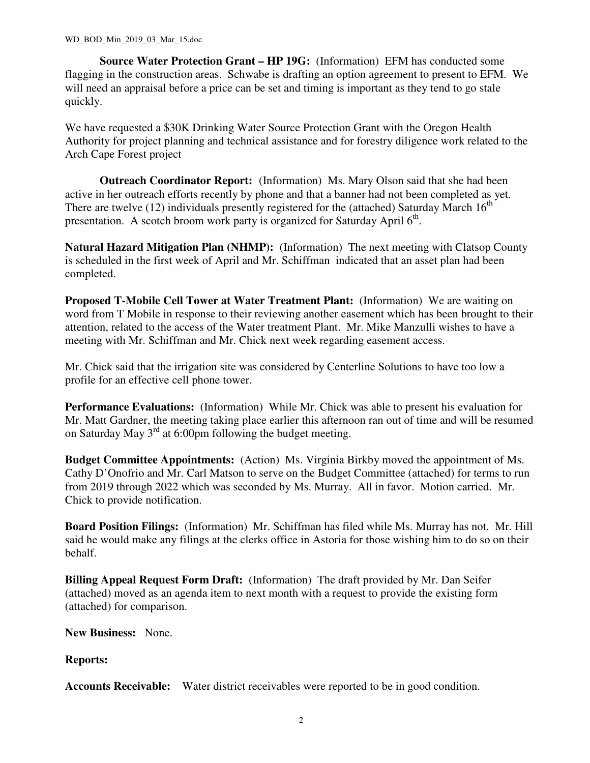**Source Water Protection Grant – HP 19G:** (Information) EFM has conducted some flagging in the construction areas. Schwabe is drafting an option agreement to present to EFM. We will need an appraisal before a price can be set and timing is important as they tend to go stale quickly.

We have requested a \$30K Drinking Water Source Protection Grant with the Oregon Health Authority for project planning and technical assistance and for forestry diligence work related to the Arch Cape Forest project

 **Outreach Coordinator Report:** (Information) Ms. Mary Olson said that she had been active in her outreach efforts recently by phone and that a banner had not been completed as yet. There are twelve (12) individuals presently registered for the (attached) Saturday March  $16<sup>th</sup>$ presentation. A scotch broom work party is organized for Saturday April 6<sup>th</sup>.

**Natural Hazard Mitigation Plan (NHMP):** (Information) The next meeting with Clatsop County is scheduled in the first week of April and Mr. Schiffman indicated that an asset plan had been completed.

**Proposed T-Mobile Cell Tower at Water Treatment Plant:** (Information) We are waiting on word from T Mobile in response to their reviewing another easement which has been brought to their attention, related to the access of the Water treatment Plant. Mr. Mike Manzulli wishes to have a meeting with Mr. Schiffman and Mr. Chick next week regarding easement access.

Mr. Chick said that the irrigation site was considered by Centerline Solutions to have too low a profile for an effective cell phone tower.

**Performance Evaluations:** (Information) While Mr. Chick was able to present his evaluation for Mr. Matt Gardner, the meeting taking place earlier this afternoon ran out of time and will be resumed on Saturday May 3rd at 6:00pm following the budget meeting.

**Budget Committee Appointments:** (Action) Ms. Virginia Birkby moved the appointment of Ms. Cathy D'Onofrio and Mr. Carl Matson to serve on the Budget Committee (attached) for terms to run from 2019 through 2022 which was seconded by Ms. Murray. All in favor. Motion carried. Mr. Chick to provide notification.

**Board Position Filings:** (Information) Mr. Schiffman has filed while Ms. Murray has not. Mr. Hill said he would make any filings at the clerks office in Astoria for those wishing him to do so on their behalf.

**Billing Appeal Request Form Draft:** (Information) The draft provided by Mr. Dan Seifer (attached) moved as an agenda item to next month with a request to provide the existing form (attached) for comparison.

**New Business:** None.

**Reports:**

**Accounts Receivable:** Water district receivables were reported to be in good condition.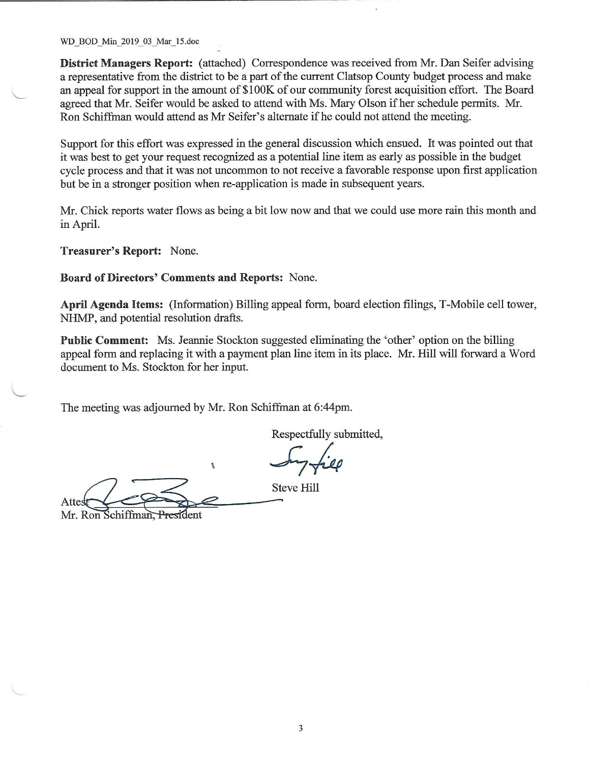WD BOD Min 2019 03 Mar\_15.doc

District Managers Report: (attached) Correspondence was received from Mr. Dan Seifer advising a representative from the district to be a part of the current Clatsop County budget process and make an appeal for support in the amount of \$100K of our community forest acquisition effort. The Board agreed that Mr. Seifer would be asked to attend with Ms. Mary Olson if her schedule permits. Mr. Ron Schiffman would attend as Mr Seifer's alternate if he could not attend the meeting.

Support for this effort was expressed in the general discussion which ensued. It was pointed out that it was best to get your request recognized as a potential line item as early as possible in the budget cycle process and that it was not uncommon to not receive a favorable response upon first application but be in a stronger position when re-application is made in subsequent years.

Mr. Chick reports water flows as being a bit low now and that we could use more rain this month and in April.

Treasurer's Report: None.

Board of Directors' Comments and Reports: None.

April Agenda Items: (Information) Billing appeal form, board election filings, T-Mobile cell tower, NHMP, and potential resolution drafts.

**Public Comment:** Ms. Jeannie Stockton suggested eliminating the 'other' option on the billing appeal form and replacing it with a payment plan line item in its place. Mr. Hill will forward a Word document to Ms. Stockton for her input.

The meeting was adjourned by Mr. Ron Schiffman at 6:44pm.

'n.

Respectfully submitted,

**Steve Hill** Attes

Mr. Ron Schiffman, President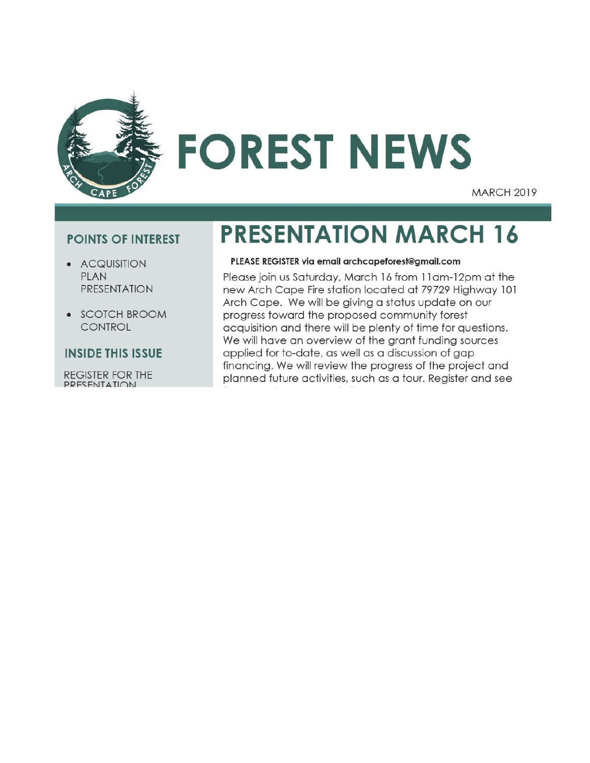

# **FOREST NEWS**

**MARCH 2019** 

# **POINTS OF INTEREST**

- ACQUISITION **PLAN PRESENTATION**
- SCOTCH BROOM CONTROL

## **INSIDE THIS ISSUE**

**REGISTER FOR THE** PRESENTATION

# **PRESENTATION MARCH 16**

#### PLEASE REGISTER via email archcapeforest@gmail.com

Please join us Saturday, March 16 from 11 am-12 pm at the new Arch Cape Fire station located at 79729 Highway 101 Arch Cape. We will be giving a status update on our progress toward the proposed community forest acquisition and there will be plenty of time for questions. We will have an overview of the grant funding sources applied for to-date, as well as a discussion of gap financing. We will review the progress of the project and planned future activities, such as a tour. Register and see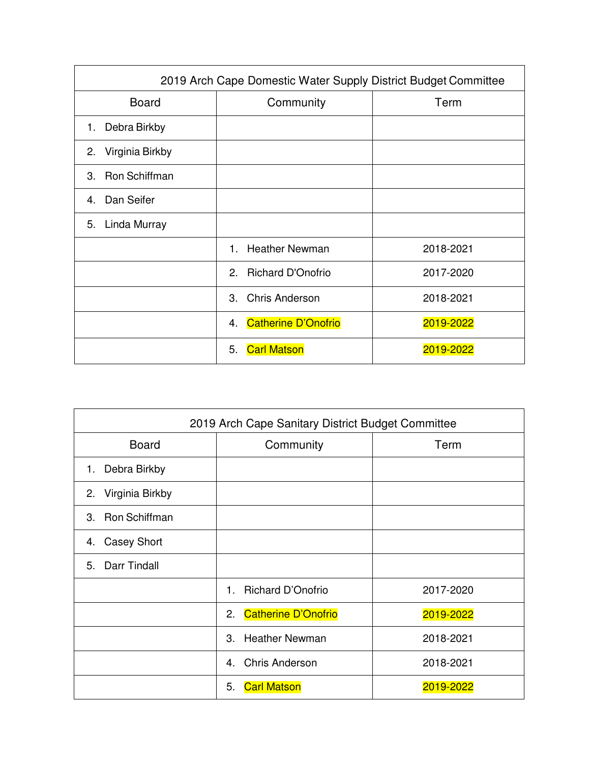| 2019 Arch Cape Domestic Water Supply District Budget Committee |                                  |           |  |  |  |
|----------------------------------------------------------------|----------------------------------|-----------|--|--|--|
| <b>Board</b>                                                   | Community                        | Term      |  |  |  |
| Debra Birkby<br>1.                                             |                                  |           |  |  |  |
| Virginia Birkby<br>2.                                          |                                  |           |  |  |  |
| Ron Schiffman<br>З.                                            |                                  |           |  |  |  |
| Dan Seifer<br>$4\overline{ }$                                  |                                  |           |  |  |  |
| Linda Murray<br>5.                                             |                                  |           |  |  |  |
|                                                                | <b>Heather Newman</b><br>$1 -$   | 2018-2021 |  |  |  |
|                                                                | <b>Richard D'Onofrio</b><br>2.   | 2017-2020 |  |  |  |
|                                                                | <b>Chris Anderson</b><br>3.      | 2018-2021 |  |  |  |
|                                                                | <b>Catherine D'Onofrio</b><br>4. | 2019-2022 |  |  |  |
|                                                                | <b>Carl Matson</b><br>5.         | 2019-2022 |  |  |  |

| 2019 Arch Cape Sanitary District Budget Committee |                                  |           |  |  |  |  |
|---------------------------------------------------|----------------------------------|-----------|--|--|--|--|
| <b>Board</b>                                      | Community                        | Term      |  |  |  |  |
| Debra Birkby<br>1.                                |                                  |           |  |  |  |  |
| 2. Virginia Birkby                                |                                  |           |  |  |  |  |
| 3. Ron Schiffman                                  |                                  |           |  |  |  |  |
| <b>Casey Short</b><br>4.                          |                                  |           |  |  |  |  |
| 5. Darr Tindall                                   |                                  |           |  |  |  |  |
|                                                   | Richard D'Onofrio<br>1           | 2017-2020 |  |  |  |  |
|                                                   | <b>Catherine D'Onofrio</b><br>2. | 2019-2022 |  |  |  |  |
|                                                   | <b>Heather Newman</b><br>З.      | 2018-2021 |  |  |  |  |
|                                                   | <b>Chris Anderson</b><br>4       | 2018-2021 |  |  |  |  |
|                                                   | <b>Carl Matson</b><br>5.         | 2019-2022 |  |  |  |  |